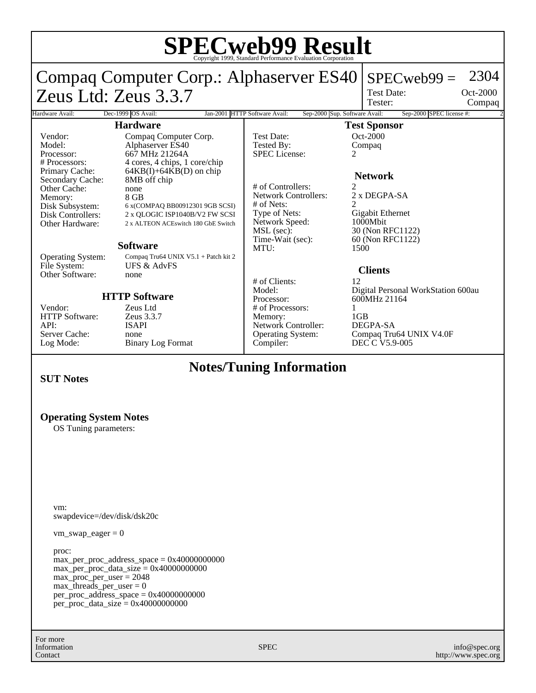#### **SPECweb99 Result** Copyright 1999, Standard Performance Evaluation Corporation Compaq Computer Corp.: Alphaserver ES40 Zeus Ltd: Zeus 3.3.7  $SPECweb99 = 2304$ Test Date: Tester: Oct-2000 Compaq Hardware Avail: Dec-1999 OS Avail: Jan-2001 HTTP Software Avail: Sep-2000 Sup. Software Avail: Sep-2000 SPEC license #: **Hardware** Vendor: Compaq Computer Corp.<br>
Model: Alphaserver ES40 Model: Alphaserver ES40<br>Processor: 667 MHz 21264A Processor: 667 MHz 21264A<br># Processors: 4 cores, 4 chips, 1 # Processors: 4 cores, 4 chips, 1 core/chip  $64KB(I) + 64KB(D)$  on chip<br>8MB off chip Secondary Cache: Other Cache: none<br>
Memory: 8 GB Memory:<br>Disk Subsystem: Disk Subsystem: 6 x(COMPAQ BB00912301 9GB SCSI)<br>Disk Controllers: 2 x QLOGIC ISP1040B/V2 FW SCSI 2 x QLOGIC ISP1040B/V2 FW SCSI Other Hardware: 2 x ALTEON ACEswitch 180 GbE Switch **Software** Operating System: Compaq Tru64 UNIX V5.1 + Patch kit 2<br>File System: UFS & AdvFS UFS & AdvFS Other Software: none **HTTP Software** Vendor: Zeus Ltd<br>HTTP Software: Zeus 3.3.7 HTTP Software: API: ISAPI Server Cache: none<br>
Log Mode: Binai Binary Log Format **Test Sponsor** Test Date: 0ct-2000<br>Tested By: 0cmpaq Tested By: C<br>SPEC License: 2 SPEC License: **Network** # of Controllers: 2<br>Network Controllers: 2 x DEGPA-SA Network Controllers: # of Nets:<br>Type of Nets: Gigabit Ethernet<br>1000Mbit Network Speed:<br>MSL (sec): MSL (sec): 30 (Non RFC1122)<br>Time-Wait (sec): 60 (Non RFC1122) 60 (Non RFC1122) MTU: 1500 **Clients** # of Clients: 12 Model: Digital Personal WorkStation 600au<br>Processor: 600MHz 21164 600MHz 21164 # of Processors:  $\frac{1}{1}$ <br>Memory:  $\frac{1}{1}$ Memory: 1GB<br>Network Controller: DEGPA-SA Network Controller: Operating System: Compaq Tru64 UNIX V4.0F Compiler: DEC C V5.9-005

## **Notes/Tuning Information**

### **SUT Notes**

## **Operating System Notes**

OS Tuning parameters:

vm: swapdevice=/dev/disk/dsk20c

 $vm\_swap\_eager = 0$ 

proc:  $max\_per\_proc\_address\_space = 0x40000000000$  $max\_per\_proc\_data\_size = 0x40000000000$ max\_proc\_per\_user = 2048  $max$ \_threads\_per\_user = 0 per\_proc\_address\_space = 0x40000000000 per\_proc\_data\_size = 0x40000000000

For more Information Contact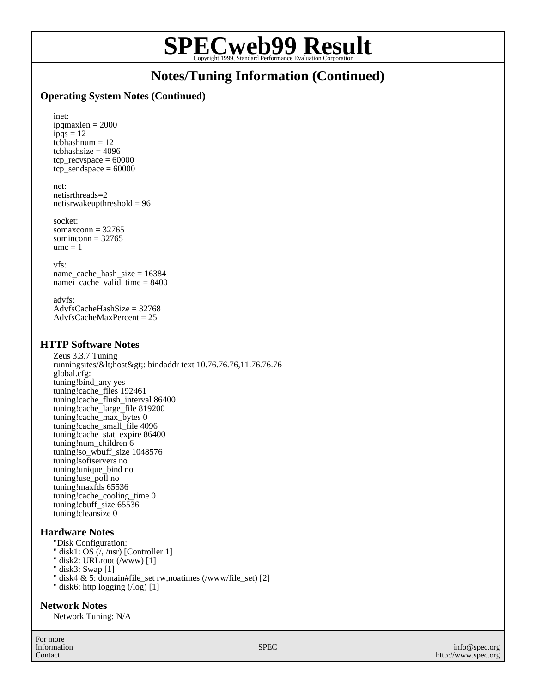# **SPECweb99 Result** Copyright 1999, Standard Performance Evaluation Corporation

## **Notes/Tuning Information (Continued)**

## **Operating System Notes (Continued)**

inet: ipqmaxlen = 2000  $ipqs = 12$  $tcbhashnum = 12$  $tcbhashsize = 4096$ tcp recvspace  $= 60000$  $tep$ \_sendspace = 60000

#### net: netisrthreads=2

netisrwakeupthreshold = 96

socket: somaxconn  $= 32765$ 

sominconn  $= 32765$  $ume = 1$ 

vfs:

name\_cache\_hash\_size = 16384 namei\_cache\_valid\_time = 8400

advfs: AdvfsCacheHashSize = 32768 AdvfsCacheMaxPercent = 25

## **HTTP Software Notes**

Zeus 3.3.7 Tuning runningsites/<host&gt;: bindaddr text 10.76.76.76,11.76.76.76 global.cfg: tuning!bind\_any yes tuning!cache\_files 192461 tuning!cache\_flush\_interval 86400 tuning!cache\_large\_file 819200 tuning!cache\_max\_bytes 0 tuning!cache\_small\_file 4096 tuning!cache\_stat\_expire 86400 tuning!num\_children 6 tuning!so\_wbuff\_size 1048576 tuning!softservers no tuning!unique\_bind no tuning!use\_poll no tuning!maxfds 65536 tuning!cache\_cooling\_time 0 tuning!cbuff\_size 65536 tuning!cleansize 0

## **Hardware Notes**

- "Disk Configuration:
- " disk1: OS  $\zeta$ , /usr) [Controller 1]
- " disk2: URLroot (/www) [1]
- " disk3: Swap [1]
- " disk4 & 5: domain#file\_set rw,noatimes (/www/file\_set) [2]
- " disk6: http logging (/log) [1]

## **Network Notes**

Network Tuning: N/A

For more Information Contact